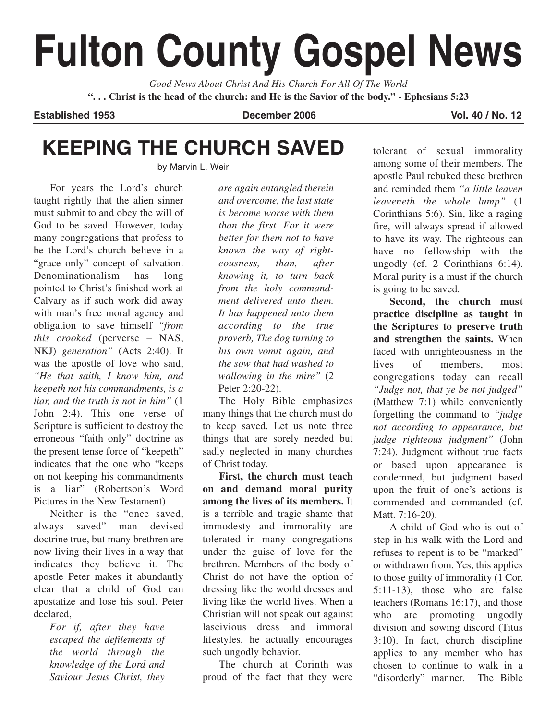# **Fulton County Gospel News**

*Good News About Christ And His Church For All Of The World* **". . . Christ is the head of the church: and He is the Savior of the body." - Ephesians 5:23**

**Established 1953 December 2006 Vol. 40 / No. 12**

# **KEEPING THE CHURCH SAVED**

by Marvin L. Weir

For years the Lord's church taught rightly that the alien sinner must submit to and obey the will of God to be saved. However, today many congregations that profess to be the Lord's church believe in a "grace only" concept of salvation. Denominationalism has long pointed to Christ's finished work at Calvary as if such work did away with man's free moral agency and obligation to save himself *"from this crooked* (perverse – NAS, NKJ) *generation"* (Acts 2:40). It was the apostle of love who said, *"He that saith, I know him, and keepeth not his commandments, is a liar, and the truth is not in him"* (1 John 2:4). This one verse of Scripture is sufficient to destroy the erroneous "faith only" doctrine as the present tense force of "keepeth" indicates that the one who "keeps on not keeping his commandments is a liar" (Robertson's Word Pictures in the New Testament).

Neither is the "once saved, always saved" man devised doctrine true, but many brethren are now living their lives in a way that indicates they believe it. The apostle Peter makes it abundantly clear that a child of God can apostatize and lose his soul. Peter declared,

> *For if, after they have escaped the defilements of the world through the knowledge of the Lord and Saviour Jesus Christ, they*

*are again entangled therein and overcome, the last state is become worse with them than the first. For it were better for them not to have known the way of righteousness, than, after knowing it, to turn back from the holy commandment delivered unto them. It has happened unto them according to the true proverb, The dog turning to his own vomit again, and the sow that had washed to wallowing in the mire"* (2 Peter 2:20-22).

The Holy Bible emphasizes many things that the church must do to keep saved. Let us note three things that are sorely needed but sadly neglected in many churches of Christ today.

**First, the church must teach on and demand moral purity among the lives of its members.** It is a terrible and tragic shame that immodesty and immorality are tolerated in many congregations under the guise of love for the brethren. Members of the body of Christ do not have the option of dressing like the world dresses and living like the world lives. When a Christian will not speak out against lascivious dress and immoral lifestyles, he actually encourages such ungodly behavior.

The church at Corinth was proud of the fact that they were

tolerant of sexual immorality among some of their members. The apostle Paul rebuked these brethren and reminded them *"a little leaven leaveneth the whole lump"* (1 Corinthians 5:6). Sin, like a raging fire, will always spread if allowed to have its way. The righteous can have no fellowship with the ungodly (cf. 2 Corinthians 6:14). Moral purity is a must if the church is going to be saved.

**Second, the church must practice discipline as taught in the Scriptures to preserve truth and strengthen the saints.** When faced with unrighteousness in the lives of members, most congregations today can recall *"Judge not, that ye be not judged"* (Matthew 7:1) while conveniently forgetting the command to *"judge not according to appearance, but judge righteous judgment"* (John 7:24). Judgment without true facts or based upon appearance is condemned, but judgment based upon the fruit of one's actions is commended and commanded (cf. Matt. 7:16-20).

A child of God who is out of step in his walk with the Lord and refuses to repent is to be "marked" or withdrawn from. Yes, this applies to those guilty of immorality (1 Cor. 5:11-13), those who are false teachers (Romans 16:17), and those who are promoting ungodly division and sowing discord (Titus 3:10). In fact, church discipline applies to any member who has chosen to continue to walk in a "disorderly" manner. The Bible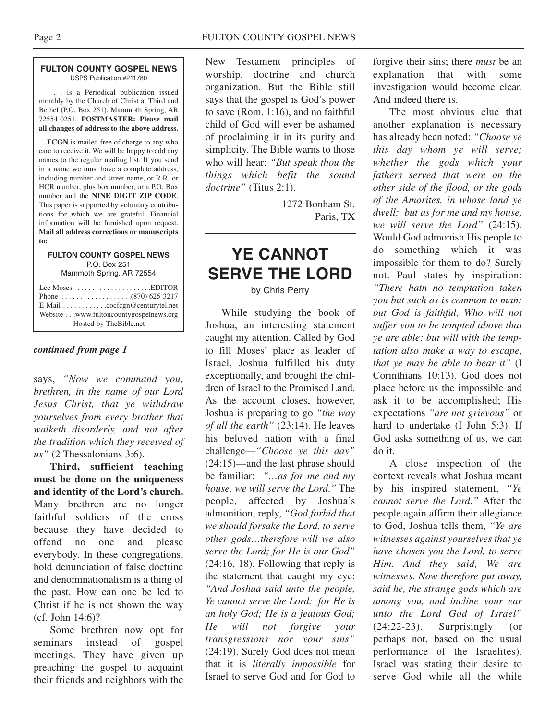### **FULTON COUNTY GOSPEL NEWS** USPS Publication #211780

. . . is a Periodical publication issued monthly by the Church of Christ at Third and Bethel (P.O. Box 251), Mammoth Spring, AR 72554-0251. **POSTMASTER: Please mail all changes of address to the above address.**

**FCGN** is mailed free of charge to any who care to receive it. We will be happy to add any names to the regular mailing list. If you send in a name we must have a complete address, including number and street name, or R.R. or HCR number, plus box number, or a P.O. Box number and the **NINE DIGIT ZIP CODE**. This paper is supported by voluntary contributions for which we are grateful. Financial information will be furnished upon request. **Mail all address corrections or manuscripts to:**

## **FULTON COUNTY GOSPEL NEWS** P.O. Box 251

Mammoth Spring, AR 72554

| Lee Moses $\dots\dots\dots\dots\dots\dots$ . EDITOR<br>E-Mail cocfcgn@centurytel.net<br>Website www.fultoncountygospelnews.org<br>Hosted by The Bible.net |
|-----------------------------------------------------------------------------------------------------------------------------------------------------------|
|                                                                                                                                                           |

## *continued from page 1*

says, *"Now we command you, brethren, in the name of our Lord Jesus Christ, that ye withdraw yourselves from every brother that walketh disorderly, and not after the tradition which they received of us"* (2 Thessalonians 3:6).

**Third, sufficient teaching must be done on the uniqueness and identity of the Lord's church.** Many brethren are no longer faithful soldiers of the cross because they have decided to offend no one and please everybody. In these congregations, bold denunciation of false doctrine and denominationalism is a thing of the past. How can one be led to Christ if he is not shown the way (cf. John 14:6)?

Some brethren now opt for seminars instead of gospel meetings. They have given up preaching the gospel to acquaint their friends and neighbors with the

New Testament principles of worship, doctrine and church organization. But the Bible still says that the gospel is God's power to save (Rom. 1:16), and no faithful child of God will ever be ashamed of proclaiming it in its purity and simplicity. The Bible warns to those who will hear: *"But speak thou the things which befit the sound doctrine"* (Titus 2:1).

> 1272 Bonham St. Paris, TX

## **YE CANNOT SERVE THE LORD**

by Chris Perry

While studying the book of Joshua, an interesting statement caught my attention. Called by God to fill Moses' place as leader of Israel, Joshua fulfilled his duty exceptionally, and brought the children of Israel to the Promised Land. As the account closes, however, Joshua is preparing to go *"the way of all the earth"* (23:14). He leaves his beloved nation with a final challenge—*"Choose ye this day"* (24:15)—and the last phrase should be familiar: *"…as for me and my house, we will serve the Lord*.*"* The people, affected by Joshua's admonition, reply, *"God forbid that we should forsake the Lord, to serve other gods…therefore will we also serve the Lord; for He is our God"* (24:16, 18). Following that reply is the statement that caught my eye: *"And Joshua said unto the people, Ye cannot serve the Lord: for He is an holy God; He is a jealous God; He will not forgive your transgressions nor your sins"* (24:19). Surely God does not mean that it is *literally impossible* for Israel to serve God and for God to

forgive their sins; there *must* be an explanation that with some investigation would become clear. And indeed there is.

The most obvious clue that another explanation is necessary has already been noted: *"Choose ye this day whom ye will serve; whether the gods which your fathers served that were on the other side of the flood, or the gods of the Amorites, in whose land ye dwell: but as for me and my house, we will serve the Lord"* (24:15). Would God admonish His people to do something which it was impossible for them to do? Surely not. Paul states by inspiration: *"There hath no temptation taken you but such as is common to man: but God is faithful, Who will not suffer you to be tempted above that ye are able; but will with the temptation also make a way to escape, that ye may be able to bear it"* (I Corinthians 10:13). God does not place before us the impossible and ask it to be accomplished; His expectations *"are not grievous"* or hard to undertake (I John 5:3). If God asks something of us, we can do it.

A close inspection of the context reveals what Joshua meant by his inspired statement, *"Ye cannot serve the Lord*.*"* After the people again affirm their allegiance to God, Joshua tells them, *"Ye are witnesses against yourselves that ye have chosen you the Lord, to serve Him. And they said, We are witnesses. Now therefore put away, said he, the strange gods which are among you, and incline your ear unto the Lord God of Israel"* (24:22-23). Surprisingly (or perhaps not, based on the usual performance of the Israelites), Israel was stating their desire to serve God while all the while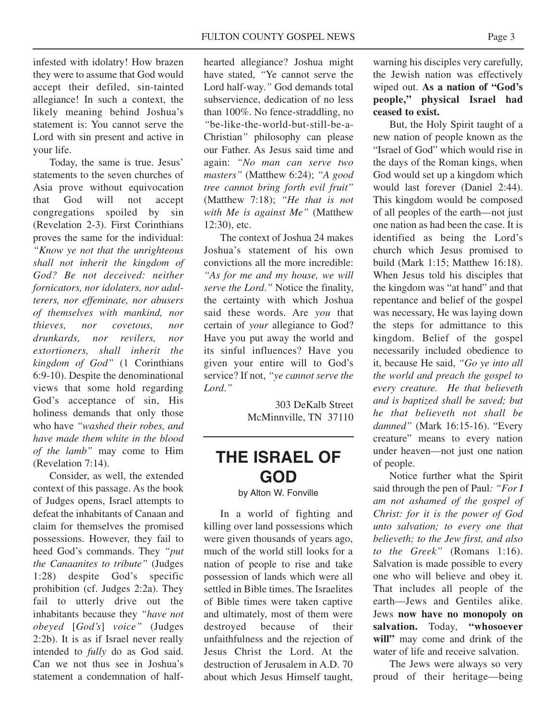infested with idolatry! How brazen they were to assume that God would accept their defiled, sin-tainted allegiance! In such a context, the likely meaning behind Joshua's statement is: You cannot serve the Lord with sin present and active in your life.

Today, the same is true. Jesus' statements to the seven churches of Asia prove without equivocation that God will not accept congregations spoiled by sin (Revelation 2-3). First Corinthians proves the same for the individual: *"Know ye not that the unrighteous shall not inherit the kingdom of God? Be not deceived: neither fornicators, nor idolaters, nor adulterers, nor effeminate, nor abusers of themselves with mankind, nor thieves, nor covetous, nor drunkards, nor revilers, nor extortioners, shall inherit the kingdom of God"* (1 Corinthians 6:9-10). Despite the denominational views that some hold regarding God's acceptance of sin, His holiness demands that only those who have *"washed their robes, and have made them white in the blood of the lamb"* may come to Him (Revelation 7:14).

Consider, as well, the extended context of this passage. As the book of Judges opens, Israel attempts to defeat the inhabitants of Canaan and claim for themselves the promised possessions. However, they fail to heed God's commands. They *"put the Canaanites to tribute"* (Judges 1:28) despite God's specific prohibition (cf. Judges 2:2a). They fail to utterly drive out the inhabitants because they *"have not obeyed* [*God's*] *voice"* (Judges 2:2b). It is as if Israel never really intended to *fully* do as God said. Can we not thus see in Joshua's statement a condemnation of halfhearted allegiance? Joshua might have stated, *"*Ye cannot serve the Lord half-way.*"* God demands total subservience, dedication of no less than 100%. No fence-straddling, no *"*be-like-the-world-but-still-be-a-Christian*"* philosophy can please our Father. As Jesus said time and again: *"No man can serve two masters"* (Matthew 6:24); *"A good tree cannot bring forth evil fruit"* (Matthew 7:18); *"He that is not with Me is against Me"* (Matthew 12:30), etc.

The context of Joshua 24 makes Joshua's statement of his own convictions all the more incredible: *"As for me and my house, we will serve the Lord*.*"* Notice the finality, the certainty with which Joshua said these words. Are *you* that certain of *your* allegiance to God? Have you put away the world and its sinful influences? Have you given your entire will to God's service? If not, *"ye cannot serve the Lord*.*"*

> 303 DeKalb Street McMinnville, TN 37110

## **THE ISRAEL OF GOD**

by Alton W. Fonville

In a world of fighting and killing over land possessions which were given thousands of years ago, much of the world still looks for a nation of people to rise and take possession of lands which were all settled in Bible times. The Israelites of Bible times were taken captive and ultimately, most of them were destroyed because of their unfaithfulness and the rejection of Jesus Christ the Lord. At the destruction of Jerusalem in A.D. 70 about which Jesus Himself taught,

warning his disciples very carefully, the Jewish nation was effectively wiped out. **As a nation of "God's people," physical Israel had ceased to exist.**

But, the Holy Spirit taught of a new nation of people known as the "Israel of God" which would rise in the days of the Roman kings, when God would set up a kingdom which would last forever (Daniel 2:44). This kingdom would be composed of all peoples of the earth—not just one nation as had been the case. It is identified as being the Lord's church which Jesus promised to build (Mark 1:15; Matthew 16:18). When Jesus told his disciples that the kingdom was "at hand" and that repentance and belief of the gospel was necessary, He was laying down the steps for admittance to this kingdom. Belief of the gospel necessarily included obedience to it, because He said, *"Go ye into all the world and preach the gospel to every creature. He that believeth and is baptized shall be saved; but he that believeth not shall be damned"* (Mark 16:15-16). "Every creature" means to every nation under heaven—not just one nation of people.

Notice further what the Spirit said through the pen of Paul*: "For I am not ashamed of the gospel of Christ: for it is the power of God unto salvation; to every one that believeth; to the Jew first, and also to the Greek"* (Romans 1:16). Salvation is made possible to every one who will believe and obey it. That includes all people of the earth—Jews and Gentiles alike. Jews **now have no monopoly on salvation.** Today, **"whosoever will"** may come and drink of the water of life and receive salvation.

The Jews were always so very proud of their heritage—being